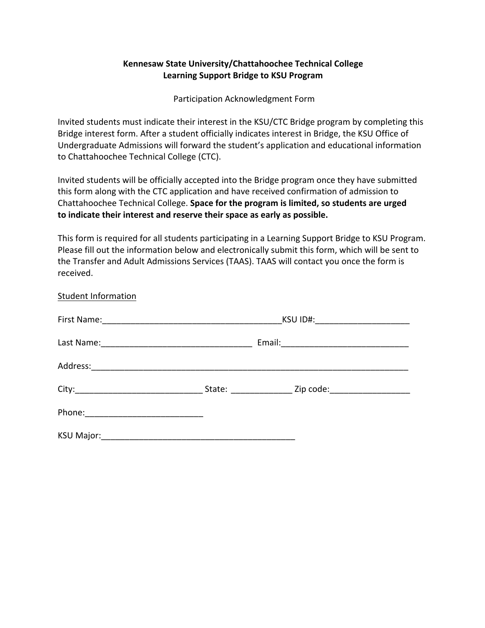## **Kennesaw State University/Chattahoochee Technical College Learning Support Bridge to KSU Program**

Participation Acknowledgment Form

Invited students must indicate their interest in the KSU/CTC Bridge program by completing this Bridge interest form. After a student officially indicates interest in Bridge, the KSU Office of Undergraduate Admissions will forward the student's application and educational information to Chattahoochee Technical College (CTC).

Invited students will be officially accepted into the Bridge program once they have submitted this form along with the CTC application and have received confirmation of admission to Chattahoochee Technical College. **Space for the program is limited, so students are urged to indicate their interest and reserve their space as early as possible.**

This form is required for all students participating in a Learning Support Bridge to KSU Program. Please fill out the information below and electronically submit this form, which will be sent to the Transfer and Adult Admissions Services (TAAS). TAAS will contact you once the form is received.

| Student information |        |                                                                                                                      |
|---------------------|--------|----------------------------------------------------------------------------------------------------------------------|
| First Name:         |        | KSU ID#:                                                                                                             |
| Last Name:          | Email: | <u> 2000 - 2000 - 2000 - 2000 - 2000 - 2000 - 2000 - 2000 - 2000 - 2000 - 2000 - 2000 - 2000 - 2000 - 2000 - 200</u> |
| Address:            |        |                                                                                                                      |
|                     | State: | Zip code:                                                                                                            |
| Phone:              |        |                                                                                                                      |
| <b>KSU Major:</b>   |        |                                                                                                                      |

Student Information